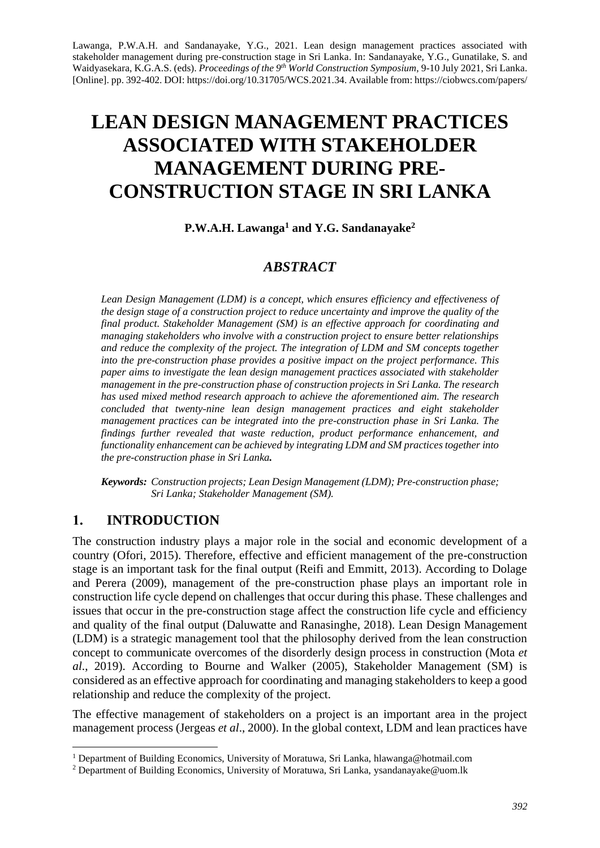Lawanga, P.W.A.H. and Sandanayake, Y.G., 2021. Lean design management practices associated with stakeholder management during pre-construction stage in Sri Lanka. In: Sandanayake, Y.G., Gunatilake, S. and Waidyasekara, K.G.A.S. (eds). *Proceedings of the 9th World Construction Symposium*, 9-10 July 2021, Sri Lanka. [Online]. pp. 392-402. DOI: https://doi.org/10.31705/WCS.2021.34. Available from: https://ciobwcs.com/papers/

# **LEAN DESIGN MANAGEMENT PRACTICES ASSOCIATED WITH STAKEHOLDER MANAGEMENT DURING PRE-CONSTRUCTION STAGE IN SRI LANKA**

**P.W.A.H. Lawanga<sup>1</sup> and Y.G. Sandanayake<sup>2</sup>**

## *ABSTRACT*

*Lean Design Management (LDM) is a concept, which ensures efficiency and effectiveness of the design stage of a construction project to reduce uncertainty and improve the quality of the final product. Stakeholder Management (SM) is an effective approach for coordinating and managing stakeholders who involve with a construction project to ensure better relationships and reduce the complexity of the project. The integration of LDM and SM concepts together into the pre-construction phase provides a positive impact on the project performance. This paper aims to investigate the lean design management practices associated with stakeholder management in the pre-construction phase of construction projects in Sri Lanka. The research has used mixed method research approach to achieve the aforementioned aim. The research concluded that twenty-nine lean design management practices and eight stakeholder management practices can be integrated into the pre-construction phase in Sri Lanka. The findings further revealed that waste reduction, product performance enhancement, and functionality enhancement can be achieved by integrating LDM and SM practices together into the pre-construction phase in Sri Lanka.*

*Keywords: Construction projects; Lean Design Management (LDM); Pre-construction phase; Sri Lanka; Stakeholder Management (SM).* 

## **1. INTRODUCTION**

The construction industry plays a major role in the social and economic development of a country (Ofori, 2015). Therefore, effective and efficient management of the pre-construction stage is an important task for the final output (Reifi and Emmitt, 2013). According to Dolage and Perera (2009), management of the pre-construction phase plays an important role in construction life cycle depend on challenges that occur during this phase. These challenges and issues that occur in the pre-construction stage affect the construction life cycle and efficiency and quality of the final output (Daluwatte and Ranasinghe, 2018). Lean Design Management (LDM) is a strategic management tool that the philosophy derived from the lean construction concept to communicate overcomes of the disorderly design process in construction (Mota *et al*., 2019). According to Bourne and Walker (2005), Stakeholder Management (SM) is considered as an effective approach for coordinating and managing stakeholders to keep a good relationship and reduce the complexity of the project.

The effective management of stakeholders on a project is an important area in the project management process (Jergeas *et al*., 2000). In the global context, LDM and lean practices have

<sup>1</sup> Department of Building Economics, University of Moratuwa, Sri Lanka, [hlawanga@hotmail.com](mailto:hlawanga@hotmail.com)

<sup>2</sup> Department of Building Economics, University of Moratuwa, Sri Lanka, ysandanayake@uom.lk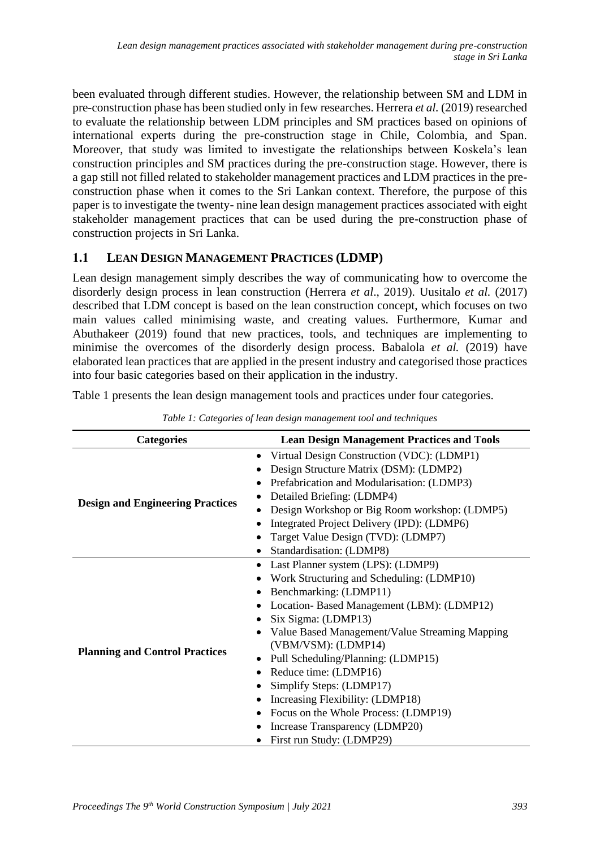been evaluated through different studies. However, the relationship between SM and LDM in pre-construction phase has been studied only in few researches. Herrera *et al.* (2019) researched to evaluate the relationship between LDM principles and SM practices based on opinions of international experts during the pre-construction stage in Chile, Colombia, and Span. Moreover, that study was limited to investigate the relationships between Koskela's lean construction principles and SM practices during the pre-construction stage. However, there is a gap still not filled related to stakeholder management practices and LDM practices in the preconstruction phase when it comes to the Sri Lankan context. Therefore, the purpose of this paper is to investigate the twenty- nine lean design management practices associated with eight stakeholder management practices that can be used during the pre-construction phase of construction projects in Sri Lanka.

## **1.1 LEAN DESIGN MANAGEMENT PRACTICES (LDMP)**

Lean design management simply describes the way of communicating how to overcome the disorderly design process in lean construction (Herrera *et al*., 2019). Uusitalo *et al.* (2017) described that LDM concept is based on the lean construction concept, which focuses on two main values called minimising waste, and creating values. Furthermore, Kumar and Abuthakeer (2019) found that new practices, tools, and techniques are implementing to minimise the overcomes of the disorderly design process. Babalola *et al.* (2019) have elaborated lean practices that are applied in the present industry and categorised those practices into four basic categories based on their application in the industry.

Table 1 presents the lean design management tools and practices under four categories.

| <b>Categories</b>                       | <b>Lean Design Management Practices and Tools</b>                                                                                                                                                                                                                                                                                                                                                                                                                                                                                     |
|-----------------------------------------|---------------------------------------------------------------------------------------------------------------------------------------------------------------------------------------------------------------------------------------------------------------------------------------------------------------------------------------------------------------------------------------------------------------------------------------------------------------------------------------------------------------------------------------|
| <b>Design and Engineering Practices</b> | Virtual Design Construction (VDC): (LDMP1)<br>٠<br>Design Structure Matrix (DSM): (LDMP2)<br>Prefabrication and Modularisation: (LDMP3)<br>Detailed Briefing: (LDMP4)<br>Design Workshop or Big Room workshop: (LDMP5)<br>Integrated Project Delivery (IPD): (LDMP6)<br>Target Value Design (TVD): (LDMP7)<br>Standardisation: (LDMP8)                                                                                                                                                                                                |
| <b>Planning and Control Practices</b>   | Last Planner system (LPS): (LDMP9)<br>٠<br>Work Structuring and Scheduling: (LDMP10)<br>Benchmarking: (LDMP11)<br>Location-Based Management (LBM): (LDMP12)<br>٠<br>Six Sigma: (LDMP13)<br>Value Based Management/Value Streaming Mapping<br>$\bullet$<br>(VBM/VSM): (LDMP14)<br>Pull Scheduling/Planning: (LDMP15)<br>٠<br>Reduce time: (LDMP16)<br>$\bullet$<br>Simplify Steps: (LDMP17)<br>Increasing Flexibility: (LDMP18)<br>Focus on the Whole Process: (LDMP19)<br>Increase Transparency (LDMP20)<br>First run Study: (LDMP29) |

*Table 1: Categories of lean design management tool and techniques*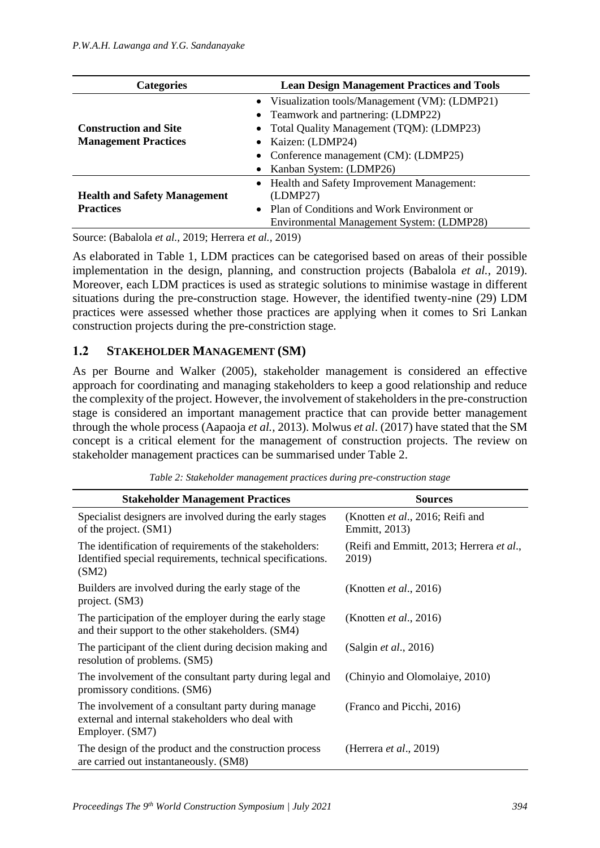| <b>Categories</b>                   | <b>Lean Design Management Practices and Tools</b> |  |  |
|-------------------------------------|---------------------------------------------------|--|--|
|                                     | • Visualization tools/Management (VM): (LDMP21)   |  |  |
|                                     | • Teamwork and partnering: (LDMP22)               |  |  |
| <b>Construction and Site</b>        | • Total Quality Management (TQM): (LDMP23)        |  |  |
| <b>Management Practices</b>         | • Kaizen: (LDMP24)                                |  |  |
|                                     | • Conference management (CM): (LDMP25)            |  |  |
|                                     | • Kanban System: (LDMP26)                         |  |  |
|                                     | • Health and Safety Improvement Management:       |  |  |
| <b>Health and Safety Management</b> | (LDMP27)                                          |  |  |
| <b>Practices</b>                    | • Plan of Conditions and Work Environment or      |  |  |
|                                     | Environmental Management System: (LDMP28)         |  |  |

Source: (Babalola *et al.,* 2019; Herrera *et al.,* 2019)

As elaborated in Table 1, LDM practices can be categorised based on areas of their possible implementation in the design, planning, and construction projects (Babalola *et al.*, 2019). Moreover, each LDM practices is used as strategic solutions to minimise wastage in different situations during the pre-construction stage. However, the identified twenty-nine (29) LDM practices were assessed whether those practices are applying when it comes to Sri Lankan construction projects during the pre-constriction stage.

#### **1.2 STAKEHOLDER MANAGEMENT (SM)**

As per Bourne and Walker (2005), stakeholder management is considered an effective approach for coordinating and managing stakeholders to keep a good relationship and reduce the complexity of the project. However, the involvement of stakeholders in the pre-construction stage is considered an important management practice that can provide better management through the whole process (Aapaoja *et al.,* 2013). Molwus *et al*. (2017) have stated that the SM concept is a critical element for the management of construction projects. The review on stakeholder management practices can be summarised under Table 2.

| <b>Stakeholder Management Practices</b>                                                                                        | <b>Sources</b>                                            |
|--------------------------------------------------------------------------------------------------------------------------------|-----------------------------------------------------------|
| Specialist designers are involved during the early stages<br>of the project. (SM1)                                             | (Knotten <i>et al.</i> , 2016; Reifi and<br>Emmitt, 2013) |
| The identification of requirements of the stakeholders:<br>Identified special requirements, technical specifications.<br>(SM2) | (Reifi and Emmitt, 2013; Herrera et al.,<br>2019)         |
| Builders are involved during the early stage of the<br>project. (SM3)                                                          | (Knotten <i>et al.</i> , 2016)                            |
| The participation of the employer during the early stage<br>and their support to the other stakeholders. (SM4)                 | (Knotten <i>et al.</i> , 2016)                            |
| The participant of the client during decision making and<br>resolution of problems. (SM5)                                      | (Salgin <i>et al.</i> , 2016)                             |
| The involvement of the consultant party during legal and<br>promissory conditions. (SM6)                                       | (Chinyio and Olomolaiye, 2010)                            |
| The involvement of a consultant party during manage<br>external and internal stakeholders who deal with<br>Employer. (SM7)     | (Franco and Picchi, 2016)                                 |
| The design of the product and the construction process<br>are carried out instantaneously. (SM8)                               | (Herrera <i>et al.</i> , 2019)                            |

*Table 2: Stakeholder management practices during pre-construction stage*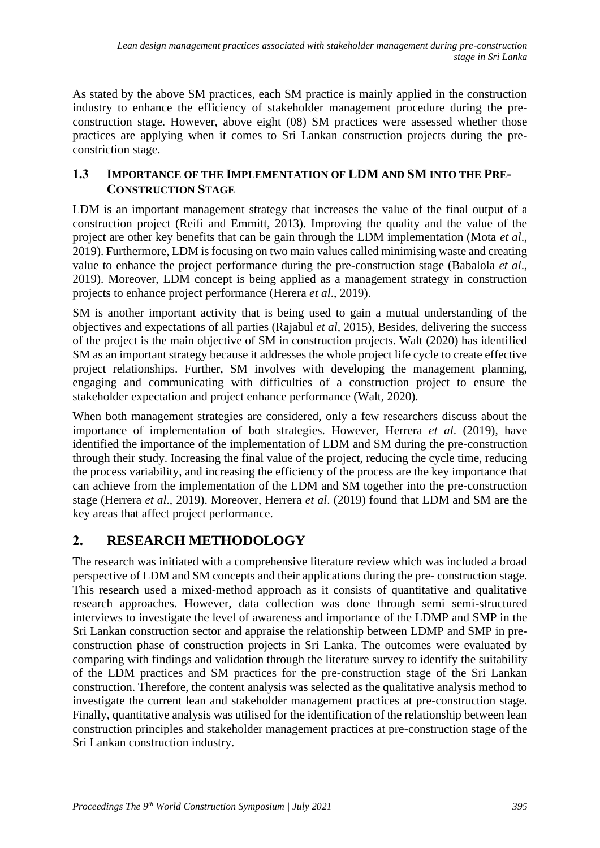As stated by the above SM practices, each SM practice is mainly applied in the construction industry to enhance the efficiency of stakeholder management procedure during the preconstruction stage. However, above eight (08) SM practices were assessed whether those practices are applying when it comes to Sri Lankan construction projects during the preconstriction stage.

## **1.3 IMPORTANCE OF THE IMPLEMENTATION OF LDM AND SM INTO THE PRE-CONSTRUCTION STAGE**

LDM is an important management strategy that increases the value of the final output of a construction project (Reifi and Emmitt, 2013). Improving the quality and the value of the project are other key benefits that can be gain through the LDM implementation (Mota *et al*., 2019). Furthermore, LDM is focusing on two main values called minimising waste and creating value to enhance the project performance during the pre-construction stage (Babalola *et al*., 2019). Moreover, LDM concept is being applied as a management strategy in construction projects to enhance project performance (Herera *et al*., 2019).

SM is another important activity that is being used to gain a mutual understanding of the objectives and expectations of all parties (Rajabul *et al*, 2015), Besides, delivering the success of the project is the main objective of SM in construction projects. Walt (2020) has identified SM as an important strategy because it addresses the whole project life cycle to create effective project relationships. Further, SM involves with developing the management planning, engaging and communicating with difficulties of a construction project to ensure the stakeholder expectation and project enhance performance (Walt, 2020).

When both management strategies are considered, only a few researchers discuss about the importance of implementation of both strategies. However, Herrera *et al*. (2019), have identified the importance of the implementation of LDM and SM during the pre-construction through their study. Increasing the final value of the project, reducing the cycle time, reducing the process variability, and increasing the efficiency of the process are the key importance that can achieve from the implementation of the LDM and SM together into the pre-construction stage (Herrera *et al*., 2019). Moreover, Herrera *et al*. (2019) found that LDM and SM are the key areas that affect project performance.

# **2. RESEARCH METHODOLOGY**

The research was initiated with a comprehensive literature review which was included a broad perspective of LDM and SM concepts and their applications during the pre- construction stage. This research used a mixed-method approach as it consists of quantitative and qualitative research approaches. However, data collection was done through semi semi-structured interviews to investigate the level of awareness and importance of the LDMP and SMP in the Sri Lankan construction sector and appraise the relationship between LDMP and SMP in preconstruction phase of construction projects in Sri Lanka. The outcomes were evaluated by comparing with findings and validation through the literature survey to identify the suitability of the LDM practices and SM practices for the pre-construction stage of the Sri Lankan construction. Therefore, the content analysis was selected as the qualitative analysis method to investigate the current lean and stakeholder management practices at pre-construction stage. Finally, quantitative analysis was utilised for the identification of the relationship between lean construction principles and stakeholder management practices at pre-construction stage of the Sri Lankan construction industry.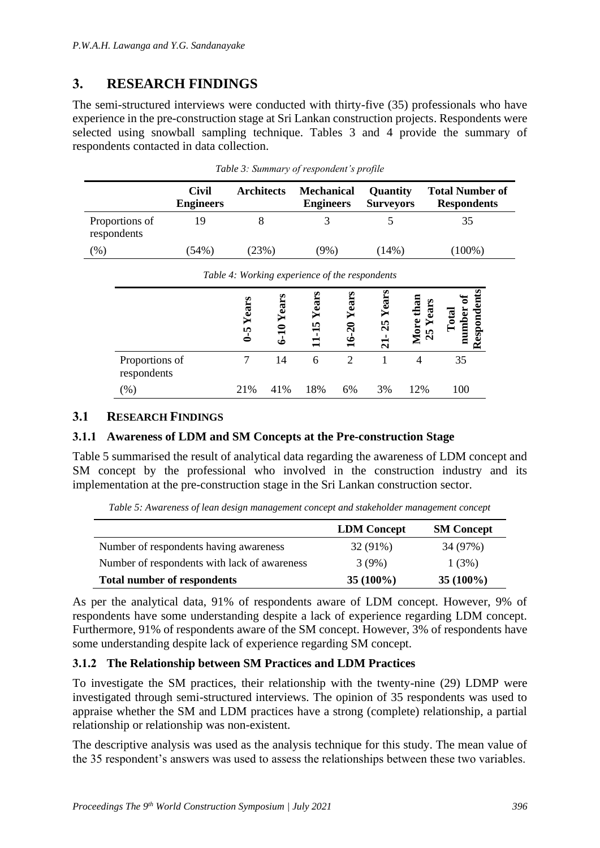# **3. RESEARCH FINDINGS**

The semi-structured interviews were conducted with thirty-five (35) professionals who have experience in the pre-construction stage at Sri Lankan construction projects. Respondents were selected using snowball sampling technique. Tables 3 and 4 provide the summary of respondents contacted in data collection.

|                               | Civil<br><b>Engineers</b> | <b>Architects</b> | <b>Mechanical</b><br><b>Engineers</b> | <b>Quantity</b><br><b>Surveyors</b> | <b>Total Number of</b><br><b>Respondents</b> |
|-------------------------------|---------------------------|-------------------|---------------------------------------|-------------------------------------|----------------------------------------------|
| Proportions of<br>respondents | 19                        |                   |                                       |                                     | 35                                           |
| (%)                           | (54%)                     | (23%)             | (9%)                                  | $(14\%)$                            | $(100\%)$                                    |

|  | Table 3: Summary of respondent's profile |  |  |
|--|------------------------------------------|--|--|
|  |                                          |  |  |

|                               | Tubic <i>i.</i> working experience of the respondents<br>Years | a   |                           | Year                    | Years                | than<br>ears                      |                                                |
|-------------------------------|----------------------------------------------------------------|-----|---------------------------|-------------------------|----------------------|-----------------------------------|------------------------------------------------|
|                               | $6 - 5$                                                        | لجه | $-15$ Yea<br>$\mathbf{1}$ | $\bar{\mathsf{c}}$<br>− | 25<br>$\overline{z}$ | More<br>m<br>$\mathbf{\tilde{c}}$ | Responden<br>umber<br>$\overline{\omega}$<br>ਠ |
| Proportions of<br>respondents |                                                                | 14  | 6                         |                         |                      |                                   | 35                                             |
| $(\%)$                        | 21%                                                            | 41% | 18%                       | 6%                      | 3%                   | 12%                               | 100                                            |

*Table 4: Working experience of the respondents*

#### **3.1 RESEARCH FINDINGS**

#### **3.1.1 Awareness of LDM and SM Concepts at the Pre-construction Stage**

Table 5 summarised the result of analytical data regarding the awareness of LDM concept and SM concept by the professional who involved in the construction industry and its implementation at the pre-construction stage in the Sri Lankan construction sector.

*Table 5: Awareness of lean design management concept and stakeholder management concept*

|                                              | <b>LDM</b> Concept | <b>SM Concept</b> |
|----------------------------------------------|--------------------|-------------------|
| Number of respondents having awareness       | 32 (91%)           | 34 (97%)          |
| Number of respondents with lack of awareness | 3(9%)              | 1(3%)             |
| <b>Total number of respondents</b>           | $35(100\%)$        | $35(100\%)$       |

As per the analytical data, 91% of respondents aware of LDM concept. However, 9% of respondents have some understanding despite a lack of experience regarding LDM concept. Furthermore, 91% of respondents aware of the SM concept. However, 3% of respondents have some understanding despite lack of experience regarding SM concept.

#### **3.1.2 The Relationship between SM Practices and LDM Practices**

To investigate the SM practices, their relationship with the twenty-nine (29) LDMP were investigated through semi-structured interviews. The opinion of 35 respondents was used to appraise whether the SM and LDM practices have a strong (complete) relationship, a partial relationship or relationship was non-existent.

The descriptive analysis was used as the analysis technique for this study. The mean value of the 35 respondent's answers was used to assess the relationships between these two variables.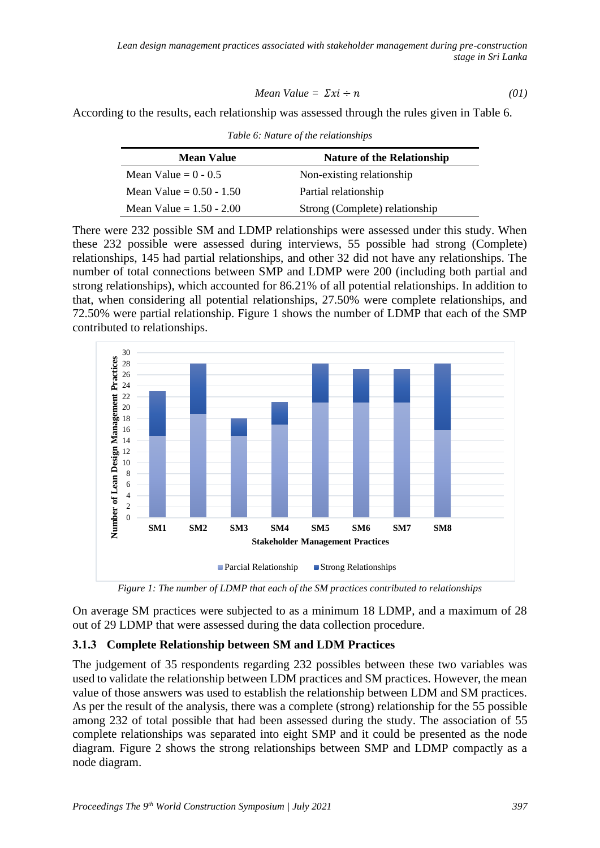Mean Value = 
$$
\Sigma x i \div n
$$
 (01)

According to the results, each relationship was assessed through the rules given in Table 6.

*Table 6: Nature of the relationships*

| <b>Mean Value</b>          | <b>Nature of the Relationship</b> |
|----------------------------|-----------------------------------|
| Mean Value $= 0 - 0.5$     | Non-existing relationship         |
| Mean Value = $0.50 - 1.50$ | Partial relationship              |
| Mean Value = $1.50 - 2.00$ | Strong (Complete) relationship    |

There were 232 possible SM and LDMP relationships were assessed under this study. When these 232 possible were assessed during interviews, 55 possible had strong (Complete) relationships, 145 had partial relationships, and other 32 did not have any relationships. The number of total connections between SMP and LDMP were 200 (including both partial and strong relationships), which accounted for 86.21% of all potential relationships. In addition to that, when considering all potential relationships, 27.50% were complete relationships, and 72.50% were partial relationship. Figure 1 shows the number of LDMP that each of the SMP contributed to relationships.



*Figure 1: The number of LDMP that each of the SM practices contributed to relationships*

On average SM practices were subjected to as a minimum 18 LDMP, and a maximum of 28 out of 29 LDMP that were assessed during the data collection procedure.

#### **3.1.3 Complete Relationship between SM and LDM Practices**

The judgement of 35 respondents regarding 232 possibles between these two variables was used to validate the relationship between LDM practices and SM practices. However, the mean value of those answers was used to establish the relationship between LDM and SM practices. As per the result of the analysis, there was a complete (strong) relationship for the 55 possible among 232 of total possible that had been assessed during the study. The association of 55 complete relationships was separated into eight SMP and it could be presented as the node diagram. Figure 2 shows the strong relationships between SMP and LDMP compactly as a node diagram.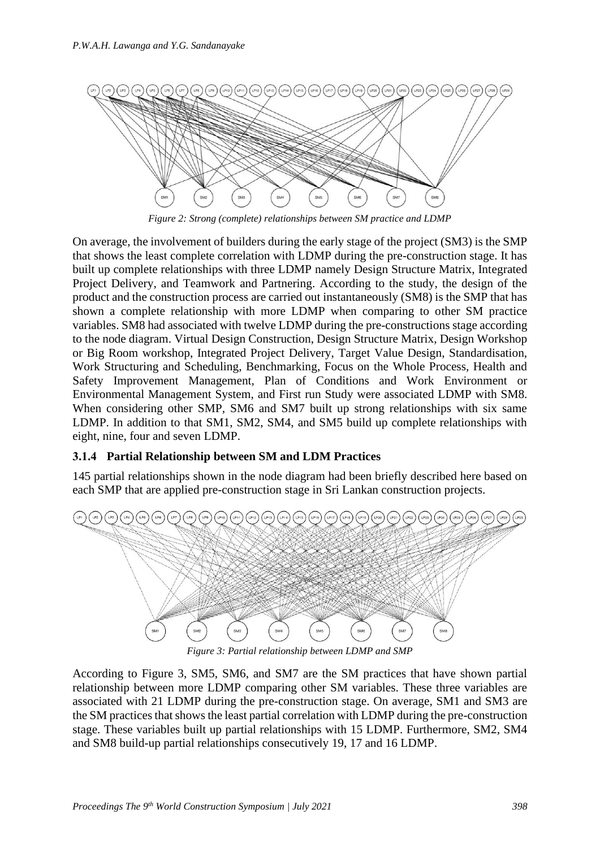

*Figure 2: Strong (complete) relationships between SM practice and LDMP*

On average, the involvement of builders during the early stage of the project (SM3) is the SMP that shows the least complete correlation with LDMP during the pre-construction stage. It has built up complete relationships with three LDMP namely Design Structure Matrix, Integrated Project Delivery, and Teamwork and Partnering. According to the study, the design of the product and the construction process are carried out instantaneously (SM8) is the SMP that has shown a complete relationship with more LDMP when comparing to other SM practice variables. SM8 had associated with twelve LDMP during the pre-constructions stage according to the node diagram. Virtual Design Construction, Design Structure Matrix, Design Workshop or Big Room workshop, Integrated Project Delivery, Target Value Design, Standardisation, Work Structuring and Scheduling, Benchmarking, Focus on the Whole Process, Health and Safety Improvement Management, Plan of Conditions and Work Environment or Environmental Management System, and First run Study were associated LDMP with SM8. When considering other SMP, SM6 and SM7 built up strong relationships with six same LDMP. In addition to that SM1, SM2, SM4, and SM5 build up complete relationships with eight, nine, four and seven LDMP.

#### **3.1.4 Partial Relationship between SM and LDM Practices**

145 partial relationships shown in the node diagram had been briefly described here based on each SMP that are applied pre-construction stage in Sri Lankan construction projects.



*Figure 3: Partial relationship between LDMP and SMP*

According to Figure 3, SM5, SM6, and SM7 are the SM practices that have shown partial relationship between more LDMP comparing other SM variables. These three variables are associated with 21 LDMP during the pre-construction stage. On average, SM1 and SM3 are the SM practices that shows the least partial correlation with LDMP during the pre-construction stage. These variables built up partial relationships with 15 LDMP. Furthermore, SM2, SM4 and SM8 build-up partial relationships consecutively 19, 17 and 16 LDMP.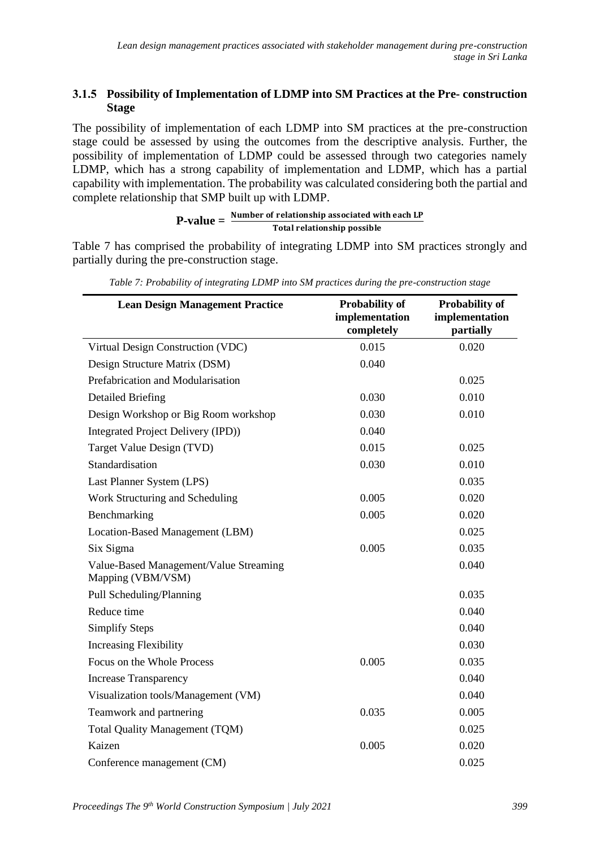#### **3.1.5 Possibility of Implementation of LDMP into SM Practices at the Pre- construction Stage**

The possibility of implementation of each LDMP into SM practices at the pre-construction stage could be assessed by using the outcomes from the descriptive analysis. Further, the possibility of implementation of LDMP could be assessed through two categories namely LDMP, which has a strong capability of implementation and LDMP, which has a partial capability with implementation. The probability was calculated considering both the partial and complete relationship that SMP built up with LDMP.

# P-value =  $\frac{Number\ of\ relationship\ associated\ with\ each\ LP}{P}$ Total relationship possible

Table 7 has comprised the probability of integrating LDMP into SM practices strongly and partially during the pre-construction stage.

| <b>Lean Design Management Practice</b>                      | <b>Probability of</b><br>implementation<br>completely | <b>Probability of</b><br>implementation<br>partially |
|-------------------------------------------------------------|-------------------------------------------------------|------------------------------------------------------|
| Virtual Design Construction (VDC)                           | 0.015                                                 | 0.020                                                |
| Design Structure Matrix (DSM)                               | 0.040                                                 |                                                      |
| Prefabrication and Modularisation                           |                                                       | 0.025                                                |
| <b>Detailed Briefing</b>                                    | 0.030                                                 | 0.010                                                |
| Design Workshop or Big Room workshop                        | 0.030                                                 | 0.010                                                |
| Integrated Project Delivery (IPD))                          | 0.040                                                 |                                                      |
| Target Value Design (TVD)                                   | 0.015                                                 | 0.025                                                |
| Standardisation                                             | 0.030                                                 | 0.010                                                |
| Last Planner System (LPS)                                   |                                                       | 0.035                                                |
| Work Structuring and Scheduling                             | 0.005                                                 | 0.020                                                |
| Benchmarking                                                | 0.005                                                 | 0.020                                                |
| Location-Based Management (LBM)                             |                                                       | 0.025                                                |
| Six Sigma                                                   | 0.005                                                 | 0.035                                                |
| Value-Based Management/Value Streaming<br>Mapping (VBM/VSM) |                                                       | 0.040                                                |
| Pull Scheduling/Planning                                    |                                                       | 0.035                                                |
| Reduce time                                                 |                                                       | 0.040                                                |
| <b>Simplify Steps</b>                                       |                                                       | 0.040                                                |
| <b>Increasing Flexibility</b>                               |                                                       | 0.030                                                |
| Focus on the Whole Process                                  | 0.005                                                 | 0.035                                                |
| <b>Increase Transparency</b>                                |                                                       | 0.040                                                |
| Visualization tools/Management (VM)                         |                                                       | 0.040                                                |
| Teamwork and partnering                                     | 0.035                                                 | 0.005                                                |
| Total Quality Management (TQM)                              |                                                       | 0.025                                                |
| Kaizen                                                      | 0.005                                                 | 0.020                                                |
| Conference management (CM)                                  |                                                       | 0.025                                                |

*Table 7: Probability of integrating LDMP into SM practices during the pre-construction stage*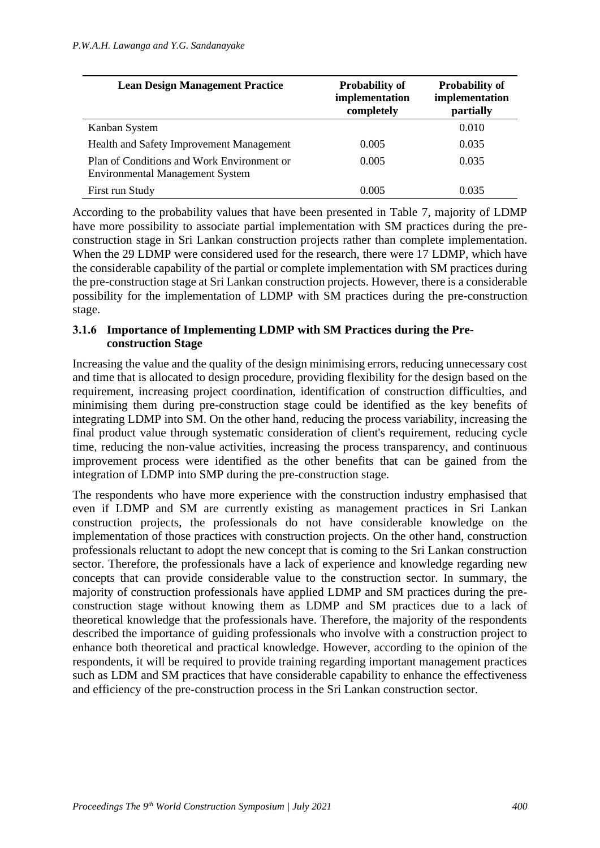| <b>Lean Design Management Practice</b>                                               | <b>Probability of</b><br>implementation<br>completely | <b>Probability of</b><br>implementation<br>partially |
|--------------------------------------------------------------------------------------|-------------------------------------------------------|------------------------------------------------------|
| Kanban System                                                                        |                                                       | 0.010                                                |
| Health and Safety Improvement Management                                             | 0.005                                                 | 0.035                                                |
| Plan of Conditions and Work Environment or<br><b>Environmental Management System</b> | 0.005                                                 | 0.035                                                |
| First run Study                                                                      | 0.005                                                 | 0.035                                                |

According to the probability values that have been presented in Table 7, majority of LDMP have more possibility to associate partial implementation with SM practices during the preconstruction stage in Sri Lankan construction projects rather than complete implementation. When the 29 LDMP were considered used for the research, there were 17 LDMP, which have the considerable capability of the partial or complete implementation with SM practices during the pre-construction stage at Sri Lankan construction projects. However, there is a considerable possibility for the implementation of LDMP with SM practices during the pre-construction stage.

#### **3.1.6 Importance of Implementing LDMP with SM Practices during the Preconstruction Stage**

Increasing the value and the quality of the design minimising errors, reducing unnecessary cost and time that is allocated to design procedure, providing flexibility for the design based on the requirement, increasing project coordination, identification of construction difficulties, and minimising them during pre-construction stage could be identified as the key benefits of integrating LDMP into SM. On the other hand, reducing the process variability, increasing the final product value through systematic consideration of client's requirement, reducing cycle time, reducing the non-value activities, increasing the process transparency, and continuous improvement process were identified as the other benefits that can be gained from the integration of LDMP into SMP during the pre-construction stage.

The respondents who have more experience with the construction industry emphasised that even if LDMP and SM are currently existing as management practices in Sri Lankan construction projects, the professionals do not have considerable knowledge on the implementation of those practices with construction projects. On the other hand, construction professionals reluctant to adopt the new concept that is coming to the Sri Lankan construction sector. Therefore, the professionals have a lack of experience and knowledge regarding new concepts that can provide considerable value to the construction sector. In summary, the majority of construction professionals have applied LDMP and SM practices during the preconstruction stage without knowing them as LDMP and SM practices due to a lack of theoretical knowledge that the professionals have. Therefore, the majority of the respondents described the importance of guiding professionals who involve with a construction project to enhance both theoretical and practical knowledge. However, according to the opinion of the respondents, it will be required to provide training regarding important management practices such as LDM and SM practices that have considerable capability to enhance the effectiveness and efficiency of the pre-construction process in the Sri Lankan construction sector.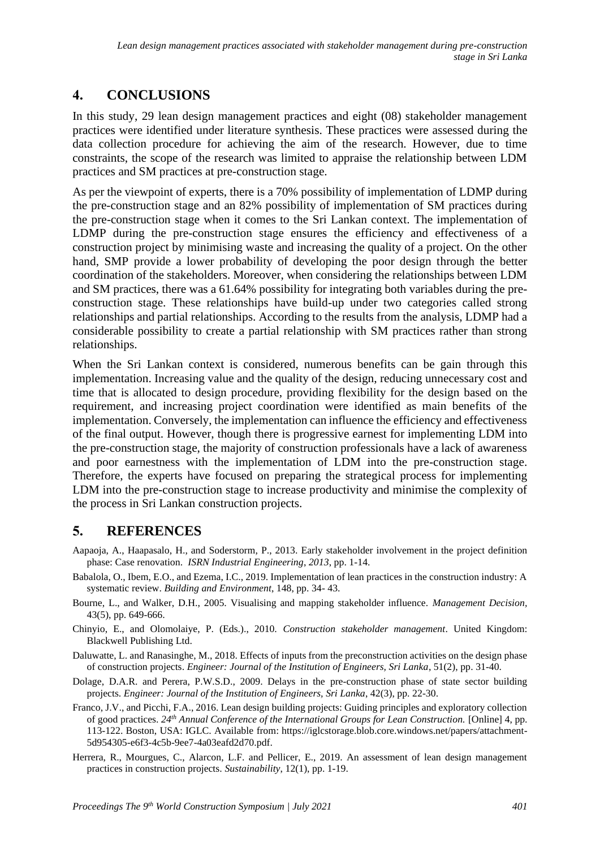# **4. CONCLUSIONS**

In this study, 29 lean design management practices and eight (08) stakeholder management practices were identified under literature synthesis. These practices were assessed during the data collection procedure for achieving the aim of the research. However, due to time constraints, the scope of the research was limited to appraise the relationship between LDM practices and SM practices at pre-construction stage.

As per the viewpoint of experts, there is a 70% possibility of implementation of LDMP during the pre-construction stage and an 82% possibility of implementation of SM practices during the pre-construction stage when it comes to the Sri Lankan context. The implementation of LDMP during the pre-construction stage ensures the efficiency and effectiveness of a construction project by minimising waste and increasing the quality of a project. On the other hand, SMP provide a lower probability of developing the poor design through the better coordination of the stakeholders. Moreover, when considering the relationships between LDM and SM practices, there was a 61.64% possibility for integrating both variables during the preconstruction stage. These relationships have build-up under two categories called strong relationships and partial relationships. According to the results from the analysis, LDMP had a considerable possibility to create a partial relationship with SM practices rather than strong relationships.

When the Sri Lankan context is considered, numerous benefits can be gain through this implementation. Increasing value and the quality of the design, reducing unnecessary cost and time that is allocated to design procedure, providing flexibility for the design based on the requirement, and increasing project coordination were identified as main benefits of the implementation. Conversely, the implementation can influence the efficiency and effectiveness of the final output. However, though there is progressive earnest for implementing LDM into the pre-construction stage, the majority of construction professionals have a lack of awareness and poor earnestness with the implementation of LDM into the pre-construction stage. Therefore, the experts have focused on preparing the strategical process for implementing LDM into the pre-construction stage to increase productivity and minimise the complexity of the process in Sri Lankan construction projects.

# **5. REFERENCES**

- Aapaoja, A., Haapasalo, H., and Soderstorm, P., 2013. Early stakeholder involvement in the project definition phase: Case renovation. *ISRN Industrial Engineering*, *2013*, pp. 1-14.
- Babalola, O., Ibem, E.O., and Ezema, I.C., 2019. Implementation of lean practices in the construction industry: A systematic review. *Building and Environment*, 148, pp. 34- 43.
- Bourne, L., and Walker, D.H., 2005. Visualising and mapping stakeholder influence. *Management Decision,*  43(5), pp. 649-666.
- Chinyio, E., and Olomolaiye, P. (Eds.)., 2010. *Construction stakeholder management*. United Kingdom: Blackwell Publishing Ltd.
- Daluwatte, L. and Ranasinghe, M., 2018. Effects of inputs from the preconstruction activities on the design phase of construction projects. *Engineer: Journal of the Institution of Engineers, Sri Lanka*, 51(2), pp. 31-40.
- Dolage, D.A.R. and Perera, P.W.S.D., 2009. Delays in the pre-construction phase of state sector building projects. *Engineer: Journal of the Institution of Engineers, Sri Lanka*, 42(3), pp. 22-30.
- Franco, J.V., and Picchi, F.A., 2016. Lean design building projects: Guiding principles and exploratory collection of good practices. *24th Annual Conference of the International Groups for Lean Construction.* [Online] 4, pp. 113-122. Boston, USA: IGLC. Available from: https://iglcstorage.blob.core.windows.net/papers/attachment-5d954305-e6f3-4c5b-9ee7-4a03eafd2d70.pdf.
- Herrera, R., Mourgues, C., Alarcon, L.F. and Pellicer, E., 2019. An assessment of lean design management practices in construction projects. *Sustainability*, 12(1), pp. 1-19.